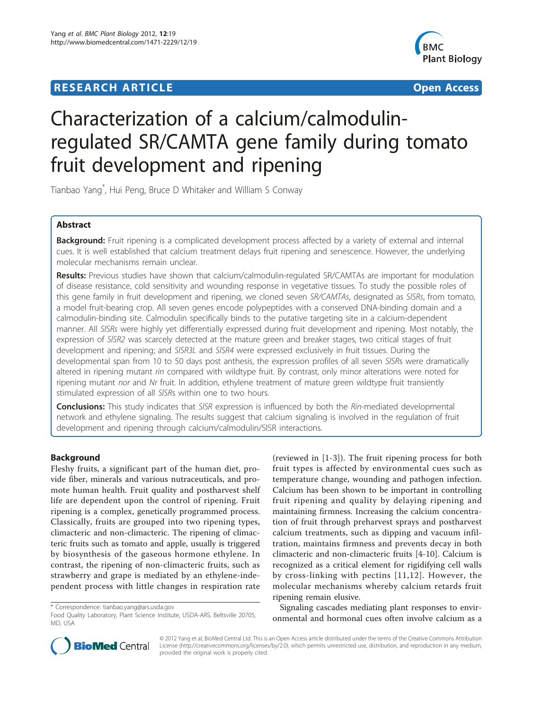## **RESEARCH ARTICLE Example 2014 CONSUMING ACCESS**



# Characterization of a calcium/calmodulinregulated SR/CAMTA gene family during tomato fruit development and ripening

Tianbao Yang\* , Hui Peng, Bruce D Whitaker and William S Conway

## Abstract

Background: Fruit ripening is a complicated development process affected by a variety of external and internal cues. It is well established that calcium treatment delays fruit ripening and senescence. However, the underlying molecular mechanisms remain unclear.

Results: Previous studies have shown that calcium/calmodulin-regulated SR/CAMTAs are important for modulation of disease resistance, cold sensitivity and wounding response in vegetative tissues. To study the possible roles of this gene family in fruit development and ripening, we cloned seven SR/CAMTAs, designated as SISRs, from tomato, a model fruit-bearing crop. All seven genes encode polypeptides with a conserved DNA-binding domain and a calmodulin-binding site. Calmodulin specifically binds to the putative targeting site in a calcium-dependent manner. All SlSRs were highly yet differentially expressed during fruit development and ripening. Most notably, the expression of SlSR2 was scarcely detected at the mature green and breaker stages, two critical stages of fruit development and ripening; and SISR3L and SISR4 were expressed exclusively in fruit tissues. During the developmental span from 10 to 50 days post anthesis, the expression profiles of all seven SlSRs were dramatically altered in ripening mutant rin compared with wildtype fruit. By contrast, only minor alterations were noted for ripening mutant nor and Nr fruit. In addition, ethylene treatment of mature green wildtype fruit transiently stimulated expression of all SlSRs within one to two hours.

**Conclusions:** This study indicates that SISR expression is influenced by both the Rin-mediated developmental network and ethylene signaling. The results suggest that calcium signaling is involved in the regulation of fruit development and ripening through calcium/calmodulin/SlSR interactions.

## Background

Fleshy fruits, a significant part of the human diet, provide fiber, minerals and various nutraceuticals, and promote human health. Fruit quality and postharvest shelf life are dependent upon the control of ripening. Fruit ripening is a complex, genetically programmed process. Classically, fruits are grouped into two ripening types, climacteric and non-climacteric. The ripening of climacteric fruits such as tomato and apple, usually is triggered by biosynthesis of the gaseous hormone ethylene. In contrast, the ripening of non-climacteric fruits, such as strawberry and grape is mediated by an ethylene-independent process with little changes in respiration rate

\* Correspondence: [tianbao.yang@ars.usda.gov](mailto:tianbao.yang@ars.usda.gov)

(reviewed in [\[1](#page-11-0)-[3](#page-11-0)]). The fruit ripening process for both fruit types is affected by environmental cues such as temperature change, wounding and pathogen infection. Calcium has been shown to be important in controlling fruit ripening and quality by delaying ripening and maintaining firmness. Increasing the calcium concentration of fruit through preharvest sprays and postharvest calcium treatments, such as dipping and vacuum infiltration, maintains firmness and prevents decay in both climacteric and non-climacteric fruits [[4](#page-11-0)-[10\]](#page-11-0). Calcium is recognized as a critical element for rigidifying cell walls by cross-linking with pectins [[11](#page-11-0),[12\]](#page-11-0). However, the molecular mechanisms whereby calcium retards fruit ripening remain elusive.

Signaling cascades mediating plant responses to environmental and hormonal cues often involve calcium as a



© 2012 Yang et al; BioMed Central Ltd. This is an Open Access article distributed under the terms of the Creative Commons Attribution License [\(http://creativecommons.org/licenses/by/2.0](http://creativecommons.org/licenses/by/2.0)), which permits unrestricted use, distribution, and reproduction in any medium, provided the original work is properly cited.

Food Quality Laboratory, Plant Science Institute, USDA-ARS, Beltsville 20705, MD, USA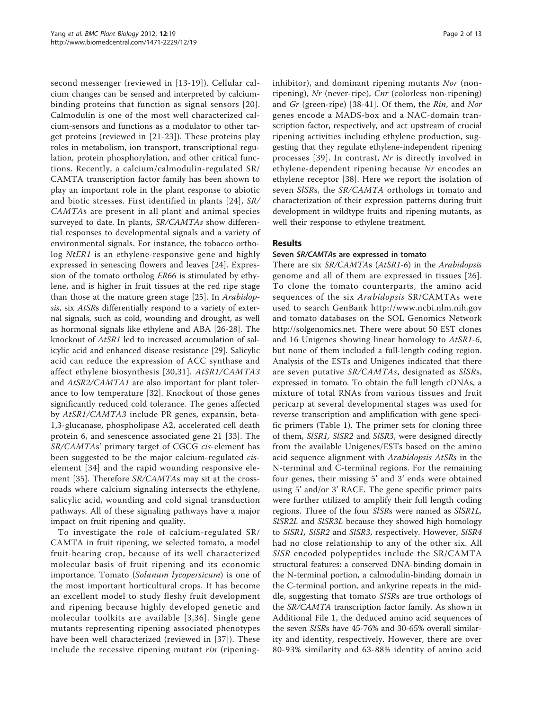second messenger (reviewed in [[13-19](#page-11-0)]). Cellular calcium changes can be sensed and interpreted by calciumbinding proteins that function as signal sensors [[20\]](#page-11-0). Calmodulin is one of the most well characterized calcium-sensors and functions as a modulator to other target proteins (reviewed in [\[21](#page-11-0)-[23](#page-11-0)]). These proteins play roles in metabolism, ion transport, transcriptional regulation, protein phosphorylation, and other critical functions. Recently, a calcium/calmodulin-regulated SR/ CAMTA transcription factor family has been shown to play an important role in the plant response to abiotic and biotic stresses. First identified in plants [[24](#page-11-0)], SR/ CAMTAs are present in all plant and animal species surveyed to date. In plants, SR/CAMTAs show differential responses to developmental signals and a variety of environmental signals. For instance, the tobacco ortholog NtER1 is an ethylene-responsive gene and highly expressed in senescing flowers and leaves [[24\]](#page-11-0). Expression of the tomato ortholog ER66 is stimulated by ethylene, and is higher in fruit tissues at the red ripe stage than those at the mature green stage [[25\]](#page-11-0). In *Arabidop*sis, six AtSRs differentially respond to a variety of external signals, such as cold, wounding and drought, as well as hormonal signals like ethylene and ABA [\[26](#page-11-0)-[28\]](#page-11-0). The knockout of AtSR1 led to increased accumulation of salicylic acid and enhanced disease resistance [\[29](#page-11-0)]. Salicylic acid can reduce the expression of ACC synthase and affect ethylene biosynthesis [[30,31\]](#page-11-0). AtSR1/CAMTA3 and AtSR2/CAMTA1 are also important for plant tolerance to low temperature [[32](#page-11-0)]. Knockout of those genes significantly reduced cold tolerance. The genes affected by AtSR1/CAMTA3 include PR genes, expansin, beta-1,3-glucanase, phospholipase A2, accelerated cell death protein 6, and senescence associated gene 21 [[33](#page-11-0)]. The SR/CAMTAs' primary target of CGCG cis-element has been suggested to be the major calcium-regulated ciselement [[34\]](#page-11-0) and the rapid wounding responsive element [[35\]](#page-11-0). Therefore SR/CAMTAs may sit at the crossroads where calcium signaling intersects the ethylene, salicylic acid, wounding and cold signal transduction pathways. All of these signaling pathways have a major impact on fruit ripening and quality.

To investigate the role of calcium-regulated SR/ CAMTA in fruit ripening, we selected tomato, a model fruit-bearing crop, because of its well characterized molecular basis of fruit ripening and its economic importance. Tomato (Solanum lycopersicum) is one of the most important horticultural crops. It has become an excellent model to study fleshy fruit development and ripening because highly developed genetic and molecular toolkits are available [[3,36](#page-11-0)]. Single gene mutants representing ripening associated phenotypes have been well characterized (reviewed in [[37\]](#page-11-0)). These include the recessive ripening mutant rin (ripeninginhibitor), and dominant ripening mutants Nor (nonripening), Nr (never-ripe), Cnr (colorless non-ripening) and Gr (green-ripe) [[38-41\]](#page-12-0). Of them, the Rin, and Nor genes encode a MADS-box and a NAC-domain transcription factor, respectively, and act upstream of crucial ripening activities including ethylene production, suggesting that they regulate ethylene-independent ripening processes [[39\]](#page-12-0). In contrast, Nr is directly involved in ethylene-dependent ripening because Nr encodes an ethylene receptor [[38\]](#page-12-0). Here we report the isolation of seven SlSRs, the SR/CAMTA orthologs in tomato and characterization of their expression patterns during fruit development in wildtype fruits and ripening mutants, as well their response to ethylene treatment.

## Results

## Seven SR/CAMTAs are expressed in tomato

There are six SR/CAMTAs (AtSR1-6) in the Arabidopsis genome and all of them are expressed in tissues [[26\]](#page-11-0). To clone the tomato counterparts, the amino acid sequences of the six *Arabidopsis* SR/CAMTAs were used to search GenBank<http://www.ncbi.nlm.nih.gov> and tomato databases on the SOL Genomics Network [http://solgenomics.net.](http://solgenomics.net) There were about 50 EST clones and 16 Unigenes showing linear homology to AtSR1-6, but none of them included a full-length coding region. Analysis of the ESTs and Unigenes indicated that there are seven putative SR/CAMTAs, designated as SlSRs, expressed in tomato. To obtain the full length cDNAs, a mixture of total RNAs from various tissues and fruit pericarp at several developmental stages was used for reverse transcription and amplification with gene specific primers (Table [1\)](#page-2-0). The primer sets for cloning three of them, SlSR1, SlSR2 and SlSR3, were designed directly from the available Unigenes/ESTs based on the amino acid sequence alignment with Arabidopsis AtSRs in the N-terminal and C-terminal regions. For the remaining four genes, their missing 5' and 3' ends were obtained using 5' and/or 3' RACE. The gene specific primer pairs were further utilized to amplify their full length coding regions. Three of the four SlSRs were named as SlSR1L, SlSR2L and SlSR3L because they showed high homology to SlSR1, SlSR2 and SlSR3, respectively. However, SlSR4 had no close relationship to any of the other six. All SlSR encoded polypeptides include the SR/CAMTA structural features: a conserved DNA-binding domain in the N-terminal portion, a calmodulin-binding domain in the C-terminal portion, and ankyrine repeats in the middle, suggesting that tomato SlSRs are true orthologs of the SR/CAMTA transcription factor family. As shown in Additional File [1](#page-10-0), the deduced amino acid sequences of the seven SlSRs have 45-76% and 30-65% overall similarity and identity, respectively. However, there are over 80-93% similarity and 63-88% identity of amino acid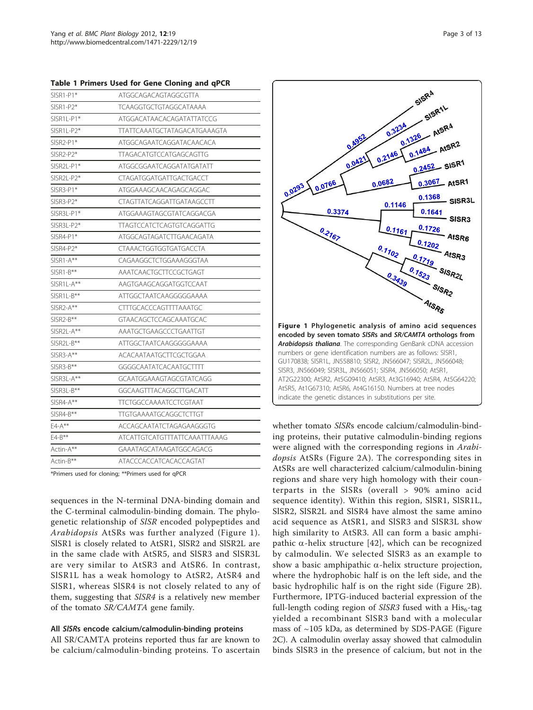<span id="page-2-0"></span>

|  |  | Table 1 Primers Used for Gene Cloning and qPCR |  |  |  |  |  |  |
|--|--|------------------------------------------------|--|--|--|--|--|--|
|--|--|------------------------------------------------|--|--|--|--|--|--|

| ATGGCAGACAGTAGGCGTTA                |  |  |  |  |
|-------------------------------------|--|--|--|--|
| TCAAGGTGCTGTAGGCATAAAA              |  |  |  |  |
| ATGGACATAACACAGATATTATCCG           |  |  |  |  |
| <b>TTATTCAAATGCTATAGACATGAAAGTA</b> |  |  |  |  |
| ATGGCAGAATCAGGATACAACACA            |  |  |  |  |
| <b>TTAGACATGTCCATGAGCAGTTG</b>      |  |  |  |  |
| ATGGCGGAATCAGGATATGATATT            |  |  |  |  |
| CTAGATGGATGATTGACTGACCT             |  |  |  |  |
| ATGGAAAGCAACAGAGCAGGAC              |  |  |  |  |
| CTAGTTATCAGGATTGATAAGCCTT           |  |  |  |  |
| ATGGAAAGTAGCGTATCAGGACGA            |  |  |  |  |
| <b>TTAGTCCATCTCAGTGTCAGGATTG</b>    |  |  |  |  |
| ATGGCAGTAGATCTTGAACAGATA            |  |  |  |  |
| CTAAACTGGTGGTGATGACCTA              |  |  |  |  |
| CAGAAGGCTCTGGAAAGGGTAA              |  |  |  |  |
| AAATCAACTGCTTCCGCTGAGT              |  |  |  |  |
| AAGTGAAGCAGGATGGTCCAAT              |  |  |  |  |
| ATTGGCTAATCAAGGGGGAAAA              |  |  |  |  |
| CTTTGCACCCAGTTTTAAATGC              |  |  |  |  |
| GTAACAGCTCCAGCAAATGCAC              |  |  |  |  |
| AAATGCTGAAGCCCTGAATTGT              |  |  |  |  |
| ATTGGCTAATCAAGGGGGAAAA              |  |  |  |  |
| ACACAATAATGCTTCGCTGGAA              |  |  |  |  |
| GGGGCAATATCACAATGCTTTT              |  |  |  |  |
| GCAATGGAAAGTAGCGTATCAGG             |  |  |  |  |
| GGCAAGTTTACAGGCTTGACATT             |  |  |  |  |
| TTCTGGCCAAAATCCTCGTAAT              |  |  |  |  |
| TTGTGAAAATGCAGGCTCTTGT              |  |  |  |  |
| ACCAGCAATATCTAGAGAAGGGTG            |  |  |  |  |
| ATCATTGTCATGTTTATTCAAATTTAAAG       |  |  |  |  |
| GAAATAGCATAAGATGGCAGACG             |  |  |  |  |
| ATACCCACCATCACACCAGTAT              |  |  |  |  |
|                                     |  |  |  |  |

\*Primers used for cloning; \*\*Primers used for qPCR

sequences in the N-terminal DNA-binding domain and the C-terminal calmodulin-binding domain. The phylogenetic relationship of SlSR encoded polypeptides and Arabidopsis AtSRs was further analyzed (Figure 1). SlSR1 is closely related to AtSR1, SlSR2 and SlSR2L are in the same clade with AtSR5, and SlSR3 and SlSR3L are very similar to AtSR3 and AtSR6. In contrast, SlSR1L has a weak homology to AtSR2, AtSR4 and SlSR1, whereas SlSR4 is not closely related to any of them, suggesting that SlSR4 is a relatively new member of the tomato SR/CAMTA gene family.

#### All SlSRs encode calcium/calmodulin-binding proteins

All SR/CAMTA proteins reported thus far are known to be calcium/calmodulin-binding proteins. To ascertain



whether tomato SlSRs encode calcium/calmodulin-binding proteins, their putative calmodulin-binding regions were aligned with the corresponding regions in Arabidopsis AtSRs (Figure [2A\)](#page-3-0). The corresponding sites in AtSRs are well characterized calcium/calmodulin-bining regions and share very high homology with their counterparts in the SlSRs (overall > 90% amino acid sequence identity). Within this region, SlSR1, SlSR1L, SlSR2, SlSR2L and SlSR4 have almost the same amino acid sequence as AtSR1, and SlSR3 and SlSR3L show high similarity to AtSR3. All can form a basic amphipathic  $\alpha$ -helix structure [\[42\]](#page-12-0), which can be recognized by calmodulin. We selected SlSR3 as an example to show a basic amphipathic  $\alpha$ -helix structure projection, where the hydrophobic half is on the left side, and the basic hydrophilic half is on the right side (Figure [2B\)](#page-3-0). Furthermore, IPTG-induced bacterial expression of the full-length coding region of  $SISR3$  fused with a His<sub>6</sub>-tag yielded a recombinant SlSR3 band with a molecular mass of  $\sim$ 105 kDa, as determined by SDS-PAGE (Figure [2C](#page-3-0)). A calmodulin overlay assay showed that calmodulin binds SlSR3 in the presence of calcium, but not in the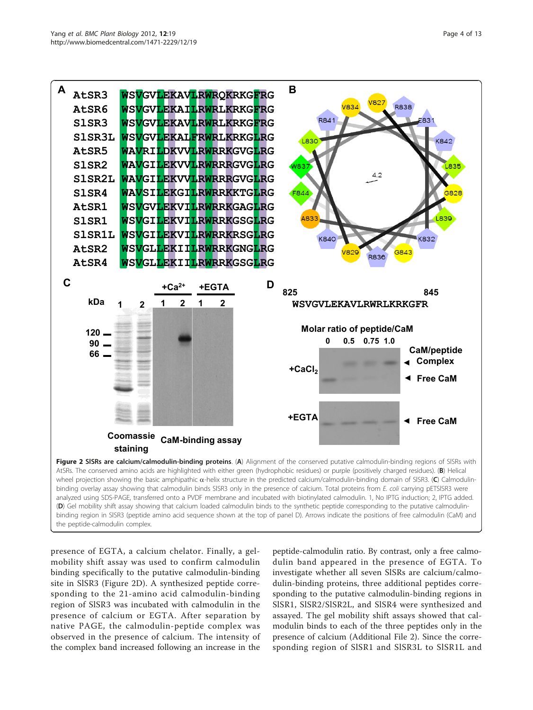<span id="page-3-0"></span>

binding overlay assay showing that calmodulin binds SISR3 only in the presence of calcium. Total proteins from E. coli carrying pETSISR3 were analyzed using SDS-PAGE, transferred onto a PVDF membrane and incubated with biotinylated calmodulin. 1, No IPTG induction; 2, IPTG added. (D) Gel mobility shift assay showing that calcium loaded calmodulin binds to the synthetic peptide corresponding to the putative calmodulinbinding region in SlSR3 (peptide amino acid sequence shown at the top of panel D). Arrows indicate the positions of free calmodulin (CaM) and the peptide-calmodulin complex.

presence of EGTA, a calcium chelator. Finally, a gelmobility shift assay was used to confirm calmodulin binding specifically to the putative calmodulin-binding site in SlSR3 (Figure 2D). A synthesized peptide corresponding to the 21-amino acid calmodulin-binding region of SlSR3 was incubated with calmodulin in the presence of calcium or EGTA. After separation by native PAGE, the calmodulin-peptide complex was observed in the presence of calcium. The intensity of the complex band increased following an increase in the

peptide-calmodulin ratio. By contrast, only a free calmodulin band appeared in the presence of EGTA. To investigate whether all seven SlSRs are calcium/calmodulin-binding proteins, three additional peptides corresponding to the putative calmodulin-binding regions in SlSR1, SlSR2/SlSR2L, and SlSR4 were synthesized and assayed. The gel mobility shift assays showed that calmodulin binds to each of the three peptides only in the presence of calcium (Additional File [2](#page-11-0)). Since the corresponding region of SlSR1 and SlSR3L to SlSR1L and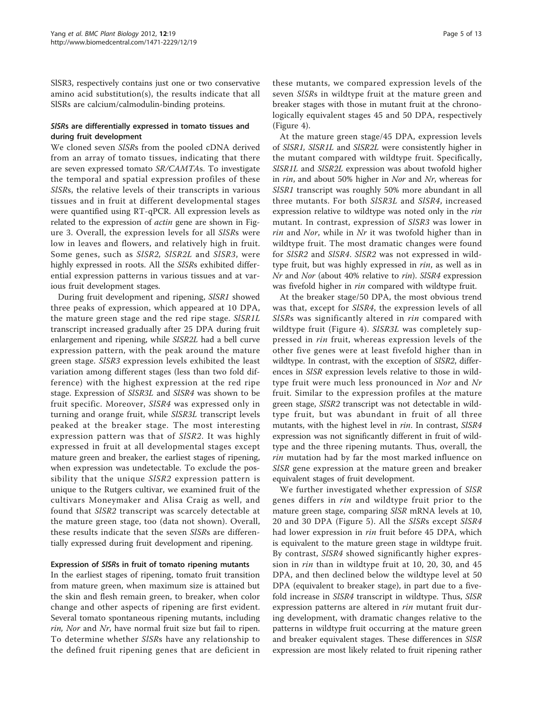SlSR3, respectively contains just one or two conservative amino acid substitution(s), the results indicate that all SlSRs are calcium/calmodulin-binding proteins.

## SlSRs are differentially expressed in tomato tissues and during fruit development

We cloned seven SlSRs from the pooled cDNA derived from an array of tomato tissues, indicating that there are seven expressed tomato SR/CAMTAs. To investigate the temporal and spatial expression profiles of these SlSRs, the relative levels of their transcripts in various tissues and in fruit at different developmental stages were quantified using RT-qPCR. All expression levels as related to the expression of actin gene are shown in Figure [3](#page-5-0). Overall, the expression levels for all SlSRs were low in leaves and flowers, and relatively high in fruit. Some genes, such as SlSR2, SlSR2L and SlSR3, were highly expressed in roots. All the SlSRs exhibited differential expression patterns in various tissues and at various fruit development stages.

During fruit development and ripening, SlSR1 showed three peaks of expression, which appeared at 10 DPA, the mature green stage and the red ripe stage. SlSR1L transcript increased gradually after 25 DPA during fruit enlargement and ripening, while SlSR2L had a bell curve expression pattern, with the peak around the mature green stage. SlSR3 expression levels exhibited the least variation among different stages (less than two fold difference) with the highest expression at the red ripe stage. Expression of SlSR3L and SlSR4 was shown to be fruit specific. Moreover, SlSR4 was expressed only in turning and orange fruit, while SlSR3L transcript levels peaked at the breaker stage. The most interesting expression pattern was that of SlSR2. It was highly expressed in fruit at all developmental stages except mature green and breaker, the earliest stages of ripening, when expression was undetectable. To exclude the possibility that the unique SISR2 expression pattern is unique to the Rutgers cultivar, we examined fruit of the cultivars Moneymaker and Alisa Craig as well, and found that SlSR2 transcript was scarcely detectable at the mature green stage, too (data not shown). Overall, these results indicate that the seven SlSRs are differentially expressed during fruit development and ripening.

## Expression of SlSRs in fruit of tomato ripening mutants

In the earliest stages of ripening, tomato fruit transition from mature green, when maximum size is attained but the skin and flesh remain green, to breaker, when color change and other aspects of ripening are first evident. Several tomato spontaneous ripening mutants, including rin, Nor and Nr, have normal fruit size but fail to ripen. To determine whether SlSRs have any relationship to the defined fruit ripening genes that are deficient in

these mutants, we compared expression levels of the seven SlSRs in wildtype fruit at the mature green and breaker stages with those in mutant fruit at the chronologically equivalent stages 45 and 50 DPA, respectively (Figure [4\)](#page-6-0).

At the mature green stage/45 DPA, expression levels of SlSR1, SlSR1L and SlSR2L were consistently higher in the mutant compared with wildtype fruit. Specifically, SlSR1L and SlSR2L expression was about twofold higher in rin, and about 50% higher in Nor and Nr, whereas for SlSR1 transcript was roughly 50% more abundant in all three mutants. For both SlSR3L and SlSR4, increased expression relative to wildtype was noted only in the rin mutant. In contrast, expression of SlSR3 was lower in rin and Nor, while in Nr it was twofold higher than in wildtype fruit. The most dramatic changes were found for SlSR2 and SlSR4. SlSR2 was not expressed in wildtype fruit, but was highly expressed in *rin*, as well as in Nr and Nor (about 40% relative to rin). SlSR4 expression was fivefold higher in rin compared with wildtype fruit.

At the breaker stage/50 DPA, the most obvious trend was that, except for SlSR4, the expression levels of all SISRs was significantly altered in *rin* compared with wildtype fruit (Figure [4\)](#page-6-0). SISR3L was completely suppressed in *rin* fruit, whereas expression levels of the other five genes were at least fivefold higher than in wildtype. In contrast, with the exception of SlSR2, differences in SlSR expression levels relative to those in wildtype fruit were much less pronounced in Nor and Nr fruit. Similar to the expression profiles at the mature green stage, SlSR2 transcript was not detectable in wildtype fruit, but was abundant in fruit of all three mutants, with the highest level in *rin*. In contrast, SISR4 expression was not significantly different in fruit of wildtype and the three ripening mutants. Thus, overall, the *rin* mutation had by far the most marked influence on SlSR gene expression at the mature green and breaker equivalent stages of fruit development.

We further investigated whether expression of SISR genes differs in rin and wildtype fruit prior to the mature green stage, comparing SlSR mRNA levels at 10, 20 and 30 DPA (Figure [5](#page-7-0)). All the SlSRs except SlSR4 had lower expression in rin fruit before 45 DPA, which is equivalent to the mature green stage in wildtype fruit. By contrast, SlSR4 showed significantly higher expression in *rin* than in wildtype fruit at 10, 20, 30, and 45 DPA, and then declined below the wildtype level at 50 DPA (equivalent to breaker stage), in part due to a fivefold increase in SISR4 transcript in wildtype. Thus, SISR expression patterns are altered in *rin* mutant fruit during development, with dramatic changes relative to the patterns in wildtype fruit occurring at the mature green and breaker equivalent stages. These differences in SlSR expression are most likely related to fruit ripening rather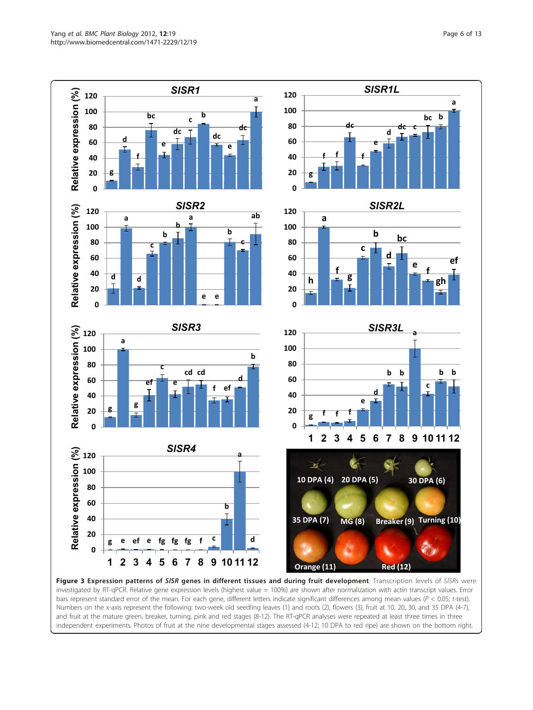<span id="page-5-0"></span>

Figure 3 Expression patterns of SISR genes in different tissues and during fruit development. Transcription levels of SISRs were investigated by RT-qPCR. Relative gene expression levels (highest value = 100%) are shown after normalization with actin transcript values. Error bars represent standard error of the mean. For each gene, different letters indicate significant differences among mean values (P < 0.05; t-test). Numbers on the x-axis represent the following: two-week old seedling leaves (1) and roots (2), flowers (3), fruit at 10, 20, 30, and 35 DPA (4-7), and fruit at the mature green, breaker, turning, pink and red stages (8-12). The RT-qPCR analyses were repeated at least three times in three independent experiments. Photos of fruit at the nine developmental stages assessed (4-12; 10 DPA to red ripe) are shown on the bottom right.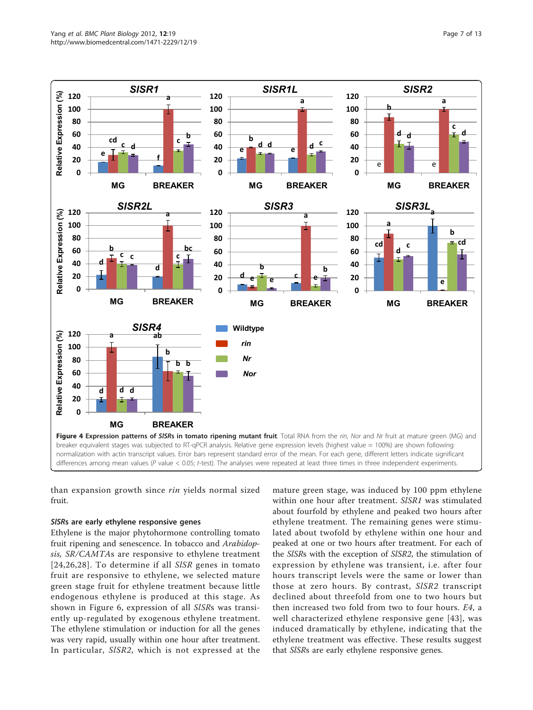<span id="page-6-0"></span>

than expansion growth since rin yields normal sized fruit.

#### SlSRs are early ethylene responsive genes

Ethylene is the major phytohormone controlling tomato fruit ripening and senescence. In tobacco and Arabidopsis, SR/CAMTAs are responsive to ethylene treatment [[24,26,28](#page-11-0)]. To determine if all SlSR genes in tomato fruit are responsive to ethylene, we selected mature green stage fruit for ethylene treatment because little endogenous ethylene is produced at this stage. As shown in Figure [6,](#page-8-0) expression of all SlSRs was transiently up-regulated by exogenous ethylene treatment. The ethylene stimulation or induction for all the genes was very rapid, usually within one hour after treatment. In particular, SlSR2, which is not expressed at the

mature green stage, was induced by 100 ppm ethylene within one hour after treatment. SISR1 was stimulated about fourfold by ethylene and peaked two hours after ethylene treatment. The remaining genes were stimulated about twofold by ethylene within one hour and peaked at one or two hours after treatment. For each of the SlSRs with the exception of SlSR2, the stimulation of expression by ethylene was transient, i.e. after four hours transcript levels were the same or lower than those at zero hours. By contrast, SlSR2 transcript declined about threefold from one to two hours but then increased two fold from two to four hours. E4, a well characterized ethylene responsive gene [[43\]](#page-12-0), was induced dramatically by ethylene, indicating that the ethylene treatment was effective. These results suggest that SlSRs are early ethylene responsive genes.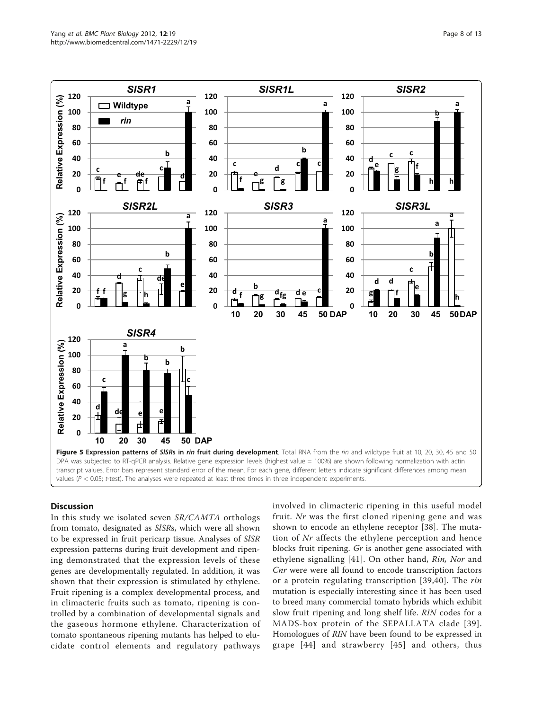<span id="page-7-0"></span>

#### **Discussion**

In this study we isolated seven SR/CAMTA orthologs from tomato, designated as SlSRs, which were all shown to be expressed in fruit pericarp tissue. Analyses of SlSR expression patterns during fruit development and ripening demonstrated that the expression levels of these genes are developmentally regulated. In addition, it was shown that their expression is stimulated by ethylene. Fruit ripening is a complex developmental process, and in climacteric fruits such as tomato, ripening is controlled by a combination of developmental signals and the gaseous hormone ethylene. Characterization of tomato spontaneous ripening mutants has helped to elucidate control elements and regulatory pathways involved in climacteric ripening in this useful model fruit. Nr was the first cloned ripening gene and was shown to encode an ethylene receptor [\[38](#page-12-0)]. The mutation of Nr affects the ethylene perception and hence blocks fruit ripening. Gr is another gene associated with ethylene signalling [\[41\]](#page-12-0). On other hand, Rin, Nor and Cnr were were all found to encode transcription factors or a protein regulating transcription [[39,40\]](#page-12-0). The rin mutation is especially interesting since it has been used to breed many commercial tomato hybrids which exhibit slow fruit ripening and long shelf life. RIN codes for a MADS-box protein of the SEPALLATA clade [[39\]](#page-12-0). Homologues of RIN have been found to be expressed in grape [[44\]](#page-12-0) and strawberry [[45](#page-12-0)] and others, thus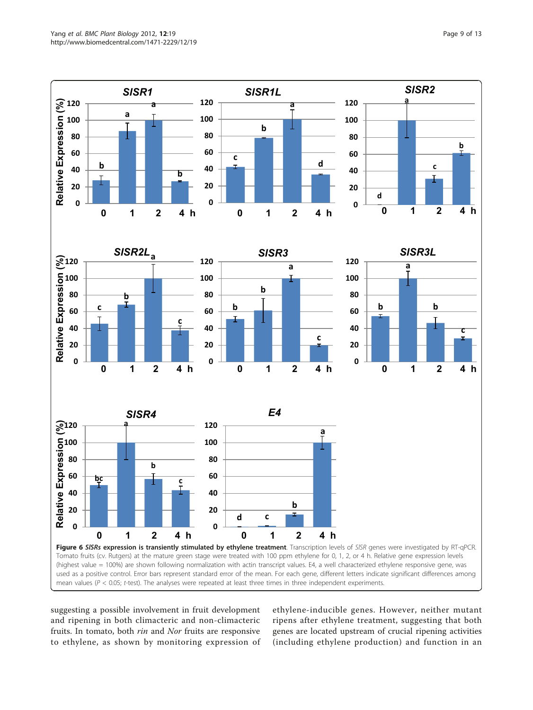<span id="page-8-0"></span>

suggesting a possible involvement in fruit development and ripening in both climacteric and non-climacteric fruits. In tomato, both rin and Nor fruits are responsive to ethylene, as shown by monitoring expression of ethylene-inducible genes. However, neither mutant ripens after ethylene treatment, suggesting that both genes are located upstream of crucial ripening activities (including ethylene production) and function in an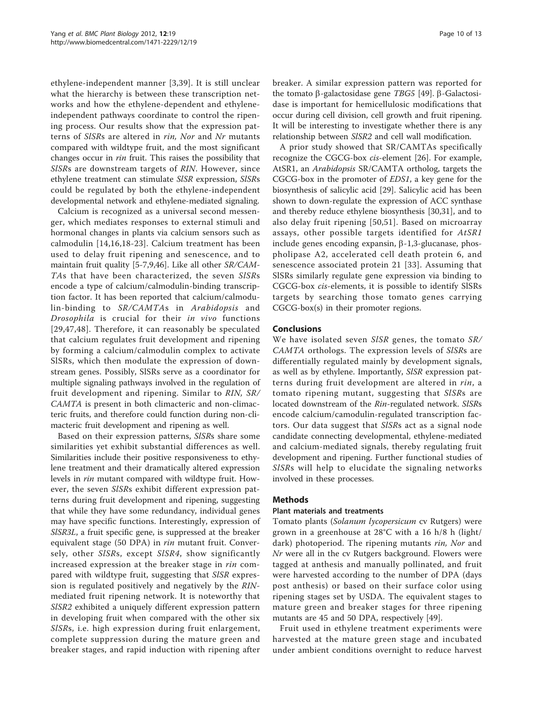ethylene-independent manner [\[3](#page-11-0),[39](#page-12-0)]. It is still unclear what the hierarchy is between these transcription networks and how the ethylene-dependent and ethyleneindependent pathways coordinate to control the ripening process. Our results show that the expression patterns of SlSRs are altered in rin, Nor and Nr mutants compared with wildtype fruit, and the most significant changes occur in rin fruit. This raises the possibility that SlSRs are downstream targets of RIN. However, since ethylene treatment can stimulate SlSR expression, SlSRs could be regulated by both the ethylene-independent developmental network and ethylene-mediated signaling.

Calcium is recognized as a universal second messenger, which mediates responses to external stimuli and hormonal changes in plants via calcium sensors such as calmodulin [[14](#page-11-0),[16,18](#page-11-0)-[23](#page-11-0)]. Calcium treatment has been used to delay fruit ripening and senescence, and to maintain fruit quality [\[5](#page-11-0)-[7,9,](#page-11-0)[46\]](#page-12-0). Like all other SR/CAM-TAs that have been characterized, the seven SlSRs encode a type of calcium/calmodulin-binding transcription factor. It has been reported that calcium/calmodulin-binding to SR/CAMTAs in Arabidopsis and Drosophila is crucial for their in vivo functions [[29](#page-11-0),[47](#page-12-0),[48\]](#page-12-0). Therefore, it can reasonably be speculated that calcium regulates fruit development and ripening by forming a calcium/calmodulin complex to activate SlSRs, which then modulate the expression of downstream genes. Possibly, SlSRs serve as a coordinator for multiple signaling pathways involved in the regulation of fruit development and ripening. Similar to RIN, SR/ CAMTA is present in both climacteric and non-climacteric fruits, and therefore could function during non-climacteric fruit development and ripening as well.

Based on their expression patterns, SlSRs share some similarities yet exhibit substantial differences as well. Similarities include their positive responsiveness to ethylene treatment and their dramatically altered expression levels in rin mutant compared with wildtype fruit. However, the seven SlSRs exhibit different expression patterns during fruit development and ripening, suggesting that while they have some redundancy, individual genes may have specific functions. Interestingly, expression of SlSR3L, a fruit specific gene, is suppressed at the breaker equivalent stage (50 DPA) in rin mutant fruit. Conversely, other SISRs, except SISR4, show significantly increased expression at the breaker stage in rin compared with wildtype fruit, suggesting that SlSR expression is regulated positively and negatively by the RINmediated fruit ripening network. It is noteworthy that SlSR2 exhibited a uniquely different expression pattern in developing fruit when compared with the other six SlSRs, i.e. high expression during fruit enlargement, complete suppression during the mature green and breaker stages, and rapid induction with ripening after breaker. A similar expression pattern was reported for the tomato  $\beta$ -galactosidase gene *TBG5* [\[49](#page-12-0)].  $\beta$ -Galactosidase is important for hemicellulosic modifications that occur during cell division, cell growth and fruit ripening. It will be interesting to investigate whether there is any relationship between SlSR2 and cell wall modification.

A prior study showed that SR/CAMTAs specifically recognize the CGCG-box cis-element [\[26](#page-11-0)]. For example, AtSR1, an Arabidopsis SR/CAMTA ortholog, targets the CGCG-box in the promoter of EDS1, a key gene for the biosynthesis of salicylic acid [\[29](#page-11-0)]. Salicylic acid has been shown to down-regulate the expression of ACC synthase and thereby reduce ethylene biosynthesis [\[30,31](#page-11-0)], and to also delay fruit ripening [\[50,51](#page-12-0)]. Based on microarray assays, other possible targets identified for AtSR1 include genes encoding expansin,  $\beta$ -1,3-glucanase, phospholipase A2, accelerated cell death protein 6, and senescence associated protein 21 [[33\]](#page-11-0). Assuming that SlSRs similarly regulate gene expression via binding to CGCG-box cis-elements, it is possible to identify SlSRs targets by searching those tomato genes carrying CGCG-box(s) in their promoter regions.

#### Conclusions

We have isolated seven *SISR* genes, the tomato *SR*/ CAMTA orthologs. The expression levels of SlSRs are differentially regulated mainly by development signals, as well as by ethylene. Importantly, SlSR expression patterns during fruit development are altered in rin, a tomato ripening mutant, suggesting that SlSRs are located downstream of the Rin-regulated network. SISRs encode calcium/camodulin-regulated transcription factors. Our data suggest that SlSRs act as a signal node candidate connecting developmental, ethylene-mediated and calcium-mediated signals, thereby regulating fruit development and ripening. Further functional studies of SlSRs will help to elucidate the signaling networks involved in these processes.

#### Methods

#### Plant materials and treatments

Tomato plants (Solanum lycopersicum cv Rutgers) were grown in a greenhouse at 28°C with a 16 h/8 h (light/ dark) photoperiod. The ripening mutants *rin*, Nor and Nr were all in the cv Rutgers background. Flowers were tagged at anthesis and manually pollinated, and fruit were harvested according to the number of DPA (days post anthesis) or based on their surface color using ripening stages set by USDA. The equivalent stages to mature green and breaker stages for three ripening mutants are 45 and 50 DPA, respectively [[49](#page-12-0)].

Fruit used in ethylene treatment experiments were harvested at the mature green stage and incubated under ambient conditions overnight to reduce harvest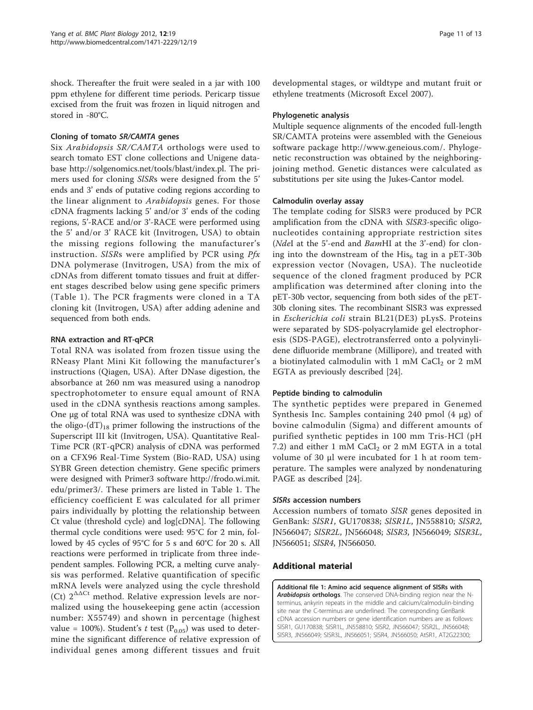<span id="page-10-0"></span>shock. Thereafter the fruit were sealed in a jar with 100 ppm ethylene for different time periods. Pericarp tissue excised from the fruit was frozen in liquid nitrogen and stored in -80°C.

#### Cloning of tomato SR/CAMTA genes

Six Arabidopsis SR/CAMTA orthologs were used to search tomato EST clone collections and Unigene database [http://solgenomics.net/tools/blast/index.pl.](http://solgenomics.net/tools/blast/index.pl) The primers used for cloning SlSRs were designed from the 5' ends and 3' ends of putative coding regions according to the linear alignment to Arabidopsis genes. For those cDNA fragments lacking 5' and/or 3' ends of the coding regions, 5'-RACE and/or 3'-RACE were performed using the 5' and/or 3' RACE kit (Invitrogen, USA) to obtain the missing regions following the manufacturer's instruction. SISRs were amplified by PCR using  $Pfx$ DNA polymerase (Invitrogen, USA) from the mix of cDNAs from different tomato tissues and fruit at different stages described below using gene specific primers (Table [1\)](#page-2-0). The PCR fragments were cloned in a TA cloning kit (Invitrogen, USA) after adding adenine and sequenced from both ends.

## RNA extraction and RT-qPCR

Total RNA was isolated from frozen tissue using the RNeasy Plant Mini Kit following the manufacturer's instructions (Qiagen, USA). After DNase digestion, the absorbance at 260 nm was measured using a nanodrop spectrophotometer to ensure equal amount of RNA used in the cDNA synthesis reactions among samples. One μg of total RNA was used to synthesize cDNA with the oligo- $(dT)_{18}$  primer following the instructions of the Superscript III kit (Invitrogen, USA). Quantitative Real-Time PCR (RT-qPCR) analysis of cDNA was performed on a CFX96 Real-Time System (Bio-RAD, USA) using SYBR Green detection chemistry. Gene specific primers were designed with Primer3 software [http://frodo.wi.mit.](http://frodo.wi.mit.edu/primer3/) [edu/primer3/.](http://frodo.wi.mit.edu/primer3/) These primers are listed in Table [1](#page-2-0). The efficiency coefficient E was calculated for all primer pairs individually by plotting the relationship between Ct value (threshold cycle) and log[cDNA]. The following thermal cycle conditions were used: 95°C for 2 min, followed by 45 cycles of 95°C for 5 s and 60°C for 20 s. All reactions were performed in triplicate from three independent samples. Following PCR, a melting curve analysis was performed. Relative quantification of specific mRNA levels were analyzed using the cycle threshold (Ct)  $2^{\Delta\Delta Ct}$  method. Relative expression levels are normalized using the housekeeping gene actin (accession number: X55749) and shown in percentage (highest value = 100%). Student's t test ( $P<sub>0.05</sub>$ ) was used to determine the significant difference of relative expression of individual genes among different tissues and fruit developmental stages, or wildtype and mutant fruit or ethylene treatments (Microsoft Excel 2007).

#### Phylogenetic analysis

Multiple sequence alignments of the encoded full-length SR/CAMTA proteins were assembled with the Geneious software package<http://www.geneious.com/>. Phylogenetic reconstruction was obtained by the neighboringjoining method. Genetic distances were calculated as substitutions per site using the Jukes-Cantor model.

#### Calmodulin overlay assay

The template coding for SlSR3 were produced by PCR amplification from the cDNA with SlSR3-specific oligonucleotides containing appropriate restriction sites (NdeI at the 5'-end and BamHI at the 3'-end) for cloning into the downstream of the  $His<sub>6</sub>$  tag in a pET-30b expression vector (Novagen, USA). The nucleotide sequence of the cloned fragment produced by PCR amplification was determined after cloning into the pET-30b vector, sequencing from both sides of the pET-30b cloning sites. The recombinant SlSR3 was expressed in Escherichia coli strain BL21(DE3) pLysS. Proteins were separated by SDS-polyacrylamide gel electrophoresis (SDS-PAGE), electrotransferred onto a polyvinylidene difluoride membrane (Millipore), and treated with a biotinylated calmodulin with 1 mM  $CaCl<sub>2</sub>$  or 2 mM EGTA as previously described [[24\]](#page-11-0).

## Peptide binding to calmodulin

The synthetic peptides were prepared in Genemed Synthesis Inc. Samples containing 240 pmol (4 μg) of bovine calmodulin (Sigma) and different amounts of purified synthetic peptides in 100 mm Tris-HCl (pH 7.2) and either 1 mM CaCl<sub>2</sub> or 2 mM EGTA in a total volume of 30 μl were incubated for 1 h at room temperature. The samples were analyzed by nondenaturing PAGE as described [\[24](#page-11-0)].

#### SlSRs accession numbers

Accession numbers of tomato SlSR genes deposited in GenBank: SlSR1, [GU170838](http://www.ncbi.nih.gov/entrez/query.fcgi?db=Nucleotide&cmd=search&term=GU170838); SlSR1L, [JN558810;](http://www.ncbi.nih.gov/entrez/query.fcgi?db=Nucleotide&cmd=search&term=JN558810) SlSR2, [JN566047](http://www.ncbi.nih.gov/entrez/query.fcgi?db=Nucleotide&cmd=search&term=JN566047); SlSR2L, [JN566048](http://www.ncbi.nih.gov/entrez/query.fcgi?db=Nucleotide&cmd=search&term=JN566048); SlSR3, [JN566049;](http://www.ncbi.nih.gov/entrez/query.fcgi?db=Nucleotide&cmd=search&term=JN566049) SlSR3L, [JN566051](http://www.ncbi.nih.gov/entrez/query.fcgi?db=Nucleotide&cmd=search&term=JN566051); SlSR4, [JN566050](http://www.ncbi.nih.gov/entrez/query.fcgi?db=Nucleotide&cmd=search&term=JN566050).

## Additional material

[Additional file 1: A](http://www.biomedcentral.com/content/supplementary/1471-2229-12-19-S1.PDF)mino acid sequence alignment of SlSRs with Arabidopsis orthologs. The conserved DNA-binding region near the Nterminus, ankyrin repeats in the middle and calcium/calmodulin-binding site near the C-terminus are underlined. The corresponding GenBank cDNA accession numbers or gene identification numbers are as follows: SlSR1, [GU170838](http://www.ncbi.nih.gov/entrez/query.fcgi?db=Nucleotide&cmd=search&term=GU170838); SlSR1L, [JN558810;](http://www.ncbi.nih.gov/entrez/query.fcgi?db=Nucleotide&cmd=search&term=JN558810) SlSR2, [JN566047;](http://www.ncbi.nih.gov/entrez/query.fcgi?db=Nucleotide&cmd=search&term=JN566047) SlSR2L, [JN566048](http://www.ncbi.nih.gov/entrez/query.fcgi?db=Nucleotide&cmd=search&term=JN566048); SlSR3, [JN566049](http://www.ncbi.nih.gov/entrez/query.fcgi?db=Nucleotide&cmd=search&term=JN566049); SlSR3L, [JN566051;](http://www.ncbi.nih.gov/entrez/query.fcgi?db=Nucleotide&cmd=search&term=JN566051) SlSR4, [JN566050;](http://www.ncbi.nih.gov/entrez/query.fcgi?db=Nucleotide&cmd=search&term=JN566050) AtSR1, [AT2G22300](http://www.ncbi.nih.gov/entrez/query.fcgi?db=Nucleotide&cmd=search&term=AT2G22300);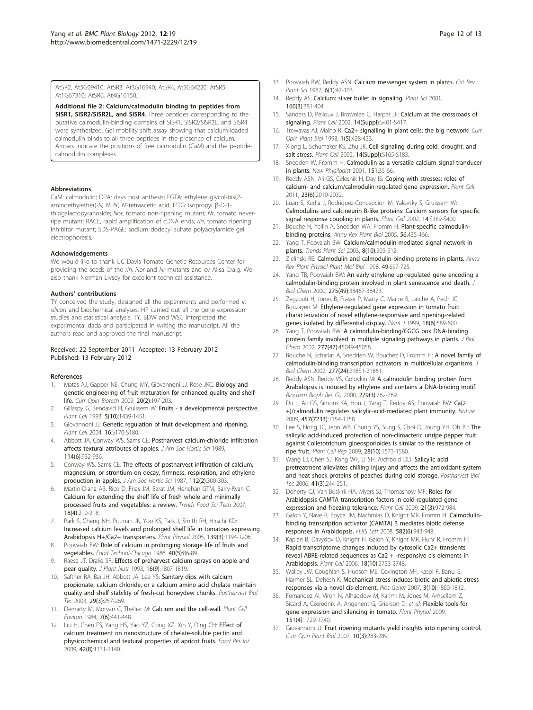<span id="page-11-0"></span>AtSR2, [At5G09410;](http://www.ncbi.nih.gov/entrez/query.fcgi?db=Nucleotide&cmd=search&term=At5G09410) AtSR3, [At3G16940](http://www.ncbi.nih.gov/entrez/query.fcgi?db=Nucleotide&cmd=search&term=At3G16940); AtSR4, [At5G64220;](http://www.ncbi.nih.gov/entrez/query.fcgi?db=Nucleotide&cmd=search&term=At5G64220) AtSR5, [At1G67310;](http://www.ncbi.nih.gov/entrez/query.fcgi?db=Nucleotide&cmd=search&term=At1G67310) AtSR6, [At4G16150](http://www.ncbi.nih.gov/entrez/query.fcgi?db=Nucleotide&cmd=search&term=At4G16150).

## [Additional file 2: C](http://www.biomedcentral.com/content/supplementary/1471-2229-12-19-S2.PDF)alcium/calmodulin binding to peptides from

SlSR1, SlSR2/SlSR2L, and SlSR4. Three peptides corresponding to the putative calmodulin-binding domains of SlSR1, SlSR2/SlSR2L, and SlSR4 were synthesized. Gel mobility shift assay showing that calcium-loaded calmodulin binds to all three peptides in the presence of calcium. Arrows indicate the positions of free calmodulin (CaM) and the peptidecalmodulin complexes.

#### Abbreviations

CaM: calmodulin; DPA: days post anthesis; EGTA: ethylene glycol-bis(2 aminoethylether)-N, N, N', N'-tetraacetic acid; IPTG: isopropyl β-D-1 thiogalactopyranoside; Nor, tomato non-ripening mutant; Nr, tomato neverripe mutant; RACE, rapid amplification of cDNA ends; rin, tomato ripening inhibitor mutant; SDS-PAGE: sodium dodecyl sulfate polyacrylamide gel electrophoresis.

#### Acknowledgements

We would like to thank UC Davis Tomato Genetic Resources Center for providing the seeds of the rin, Nor and Nr mutants and cv Alisa Craig. We also thank Norman Livsey for excellent technical assistance.

#### Authors' contributions

TY conceived the study, designed all the experiments and performed in silicon and biochemical analyses. HP carried out all the gene expression studies and statistical analysis. TY, BDW and WSC interpreted the experimental dada and participated in writing the manuscript. All the authors read and approved the final manuscript.

#### Received: 22 September 2011 Accepted: 13 February 2012 Published: 13 February 2012

#### References

- 1. Matas AJ, Gapper NE, Chung MY, Giovannoni JJ, Rose JKC: [Biology and](http://www.ncbi.nlm.nih.gov/pubmed/19339169?dopt=Abstract) [genetic engineering of fruit maturation for enhanced quality and shelf](http://www.ncbi.nlm.nih.gov/pubmed/19339169?dopt=Abstract)[life.](http://www.ncbi.nlm.nih.gov/pubmed/19339169?dopt=Abstract) Curr Opin Biotech 2009, 20(2):197-203.
- 2. Gillaspy G, Bendavid H, Gruissem W: [Fruits a developmental perspective.](http://www.ncbi.nlm.nih.gov/pubmed/12271039?dopt=Abstract) Plant Cell 1993, 5(10):1439-1451.
- 3. Giovannoni JJ: [Genetic regulation of fruit development and ripening.](http://www.ncbi.nlm.nih.gov/pubmed/15010516?dopt=Abstract) Plant Cell 2004, 16:S170-S180.
- 4. Abbott JA, Conway WS, Sams CE: Postharvest calcium-chloride infiltration affects textural attributes of apples. J Am Soc Hortic Sci 1989, 114(6):932-936.
- 5. Conway WS, Sams CE: The effects of postharvest infiltration of calcium, magnesium, or strontium on decay, firmness, respiration, and ethylene production in apples. J Am Soc Hortic Sci 1987, 112(2):300-303.
- 6. Martin-Diana AB, Rico D, Frias JM, Barat JM, Henehan GTM, Barry-Ryan C: Calcium for extending the shelf life of fresh whole and minimally processed fruits and vegetables: a review. Trends Food Sci Tech 2007, 18(4):210-218.
- 7. Park S, Cheng NH, Pittman JK, Yoo KS, Park J, Smith RH, Hirschi KD: [Increased calcium levels and prolonged shelf life in tomatoes expressing](http://www.ncbi.nlm.nih.gov/pubmed/16244156?dopt=Abstract) [Arabidopsis H+/Ca2+ transporters.](http://www.ncbi.nlm.nih.gov/pubmed/16244156?dopt=Abstract) Plant Physiol 2005, 139(3):1194-1206.
- 8. Poovaiah BW: Role of calcium in prolonging storage life of fruits and vegetables. Food Technol-Chicago 1986, 40(5):86-89.
- Raese JT, Drake SR: Effects of preharvest calcium sprays on apple and pear quality. J Plant Nutr 1993, 16(9):1807-1819.
- 10. Saftner RA, Bai JH, Abbott JA, Lee YS: Sanitary dips with calcium propionate, calcium chloride, or a calcium amino acid chelate maintain quality and shelf stability of fresh-cut honeydew chunks. Postharvest Biol Tec 2003, 29(3):257-269.
- 11. Demarty M, Morvan C, Thellier M: Calcium and the cell-wall. Plant Cell Environ 1984, 7(6):441-448.
- 12. Liu H, Chen FS, Yang HS, Yao YZ, Gong XZ, Xin Y, Ding CH: Effect of calcium treatment on nanostructure of chelate-soluble pectin and physicochemical and textural properties of apricot fruits. Food Res Int 2009, 42(8):1131-1140.
- 13. Poovaiah BW, Reddy ASN: [Calcium messenger system in plants.](http://www.ncbi.nlm.nih.gov/pubmed/11540070?dopt=Abstract) Crit Rev Plant Sci 1987, 6(1):47-103.
- 14. Reddy AS: [Calcium: silver bullet in signaling.](http://www.ncbi.nlm.nih.gov/pubmed/11166425?dopt=Abstract) Plant Sci 2001, 160(3):381-404.
- 15. Sanders D, Pelloux J, Brownlee C, Harper JF: [Calcium at the crossroads of](http://www.ncbi.nlm.nih.gov/pubmed/12045291?dopt=Abstract) [signaling.](http://www.ncbi.nlm.nih.gov/pubmed/12045291?dopt=Abstract) Plant Cell 2002, 14(Suppl):S401-S417
- 16. Trewavas AJ, Malho R: [Ca2+ signalling in plant cells: the big network!](http://www.ncbi.nlm.nih.gov/pubmed/10066614?dopt=Abstract) Curr Opin Plant Biol 1998, 1(5):428-433.
- 17. Xiong L, Schumaker KS, Zhu JK: [Cell signaling during cold, drought, and](http://www.ncbi.nlm.nih.gov/pubmed/12045276?dopt=Abstract) [salt stress.](http://www.ncbi.nlm.nih.gov/pubmed/12045276?dopt=Abstract) Plant Cell 2002, 14(Suppl):S165-S183.
- 18. Snedden W, Fromm H: Calmodulin as a versatile calcium signal tranducer in plants. New Physilogist 2001, 151:35-66.
- 19. Reddy ASN, Ali GS, Celesnik H, Day IS: [Coping with stresses: roles of](http://www.ncbi.nlm.nih.gov/pubmed/21642548?dopt=Abstract) [calcium- and calcium/calmodulin-regulated gene expression.](http://www.ncbi.nlm.nih.gov/pubmed/21642548?dopt=Abstract) Plant Cell 2011, 23(6):2010-2032.
- 20. Luan S, Kudla J, Rodriguez-Concepcion M, Yalovsky S, Gruissem W: [Calmodulins and calcineurin B-like proteins: Calcium sensors for specific](http://www.ncbi.nlm.nih.gov/pubmed/12045290?dopt=Abstract) [signal response coupling in plants.](http://www.ncbi.nlm.nih.gov/pubmed/12045290?dopt=Abstract) Plant Cell 2002, 14:S389-S400
- 21. Bouche N, Yellin A, Snedden WA, Fromm H: [Plant-specific calmodulin](http://www.ncbi.nlm.nih.gov/pubmed/15862103?dopt=Abstract)[binding proteins.](http://www.ncbi.nlm.nih.gov/pubmed/15862103?dopt=Abstract) Annu Rev Plant Biol 2005, 56:435-466.
- 22. Yang T, Poovaiah BW: [Calcium/calmodulin-mediated signal network in](http://www.ncbi.nlm.nih.gov/pubmed/14557048?dopt=Abstract) [plants.](http://www.ncbi.nlm.nih.gov/pubmed/14557048?dopt=Abstract) Trends Plant Sci 2003, 8(10):505-512.
- 23. Zielinski RE: [Calmodulin and calmodulin-binding proteins in plants.](http://www.ncbi.nlm.nih.gov/pubmed/15012251?dopt=Abstract) Annu Rev Plant Physiol Plant Mol Biol 1998, 49:697-725.
- 24. Yang TB, Poovaiah BW: [An early ethylene up-regulated gene encoding a](http://www.ncbi.nlm.nih.gov/pubmed/10952977?dopt=Abstract) [calmodulin-binding protein involved in plant senescence and death.](http://www.ncbi.nlm.nih.gov/pubmed/10952977?dopt=Abstract) Biol Chem 2000, 275(49):38467-38473.
- 25. Zegzouti H, Jones B, Frasse P, Marty C, Maitre B, Latche A, Pech JC, Bouzayen M: [Ethylene-regulated gene expression in tomato fruit:](http://www.ncbi.nlm.nih.gov/pubmed/10417710?dopt=Abstract) [characterization of novel ethylene-responsive and ripening-related](http://www.ncbi.nlm.nih.gov/pubmed/10417710?dopt=Abstract) [genes isolated by differential display.](http://www.ncbi.nlm.nih.gov/pubmed/10417710?dopt=Abstract) Plant J 1999, 18(6):589-600.
- 26. Yang T, Poovaiah BW: [A calmodulin-binding/CGCG box DNA-binding](http://www.ncbi.nlm.nih.gov/pubmed/12218065?dopt=Abstract) [protein family involved in multiple signaling pathways in plants.](http://www.ncbi.nlm.nih.gov/pubmed/12218065?dopt=Abstract) J Biol Chem 2002, 277(47):45049-45058.
- 27. Bouche N, Scharlat A, Snedden W, Bouchez D, Fromm H: [A novel family of](http://www.ncbi.nlm.nih.gov/pubmed/11925432?dopt=Abstract) [calmodulin-binding transcription activators in multicellular organisms.](http://www.ncbi.nlm.nih.gov/pubmed/11925432?dopt=Abstract) J Biol Chem 2002, 277(24):21851-21861.
- 28. Reddy ASN, Reddy VS, Golovkin M: A calmodulin binding protein from Arabidopsis is induced by ethylene and contains a DNA-binding motif. Biochem Bioph Res Co 2000, 279(3):762-769.
- 29. Du L, Ali GS, Simons KA, Hou J, Yang T, Reddy AS, Poovaiah BW: [Ca\(2](http://www.ncbi.nlm.nih.gov/pubmed/19122675?dopt=Abstract) [+\)/calmodulin regulates salicylic-acid-mediated plant immunity.](http://www.ncbi.nlm.nih.gov/pubmed/19122675?dopt=Abstract) Nature 2009, 457(7233):1154-1158.
- 30. Lee S, Hong JC, Jeon WB, Chung YS, Sung S, Choi D, Joung YH, Oh BJ: [The](http://www.ncbi.nlm.nih.gov/pubmed/19701640?dopt=Abstract) [salicylic acid-induced protection of non-climacteric unripe pepper fruit](http://www.ncbi.nlm.nih.gov/pubmed/19701640?dopt=Abstract) [against Colletotrichum gloeosporioides is similar to the resistance of](http://www.ncbi.nlm.nih.gov/pubmed/19701640?dopt=Abstract) [ripe fruit.](http://www.ncbi.nlm.nih.gov/pubmed/19701640?dopt=Abstract) Plant Cell Rep 2009, 28(10):1573-1580.
- 31. Wang LJ, Chen SJ, Kong WF, Li SH, Archbold DD: Salicylic acid pretreatment alleviates chilling injury and affects the antioxidant system and heat shock proteins of peaches during cold storage. Postharvest Biol Tec 2006, 41(3):244-251.
- 32. Doherty CJ, Van Buskirk HA, Myers SJ, Thomashow MF: [Roles for](http://www.ncbi.nlm.nih.gov/pubmed/19270186?dopt=Abstract) [Arabidopsis CAMTA transcription factors in cold-regulated gene](http://www.ncbi.nlm.nih.gov/pubmed/19270186?dopt=Abstract) [expression and freezing tolerance.](http://www.ncbi.nlm.nih.gov/pubmed/19270186?dopt=Abstract) Plant Cell 2009, 21(3):972-984.
- 33. Galon Y, Nave R, Boyce JM, Nachmias D, Knight MR, Fromm H: [Calmodulin](http://www.ncbi.nlm.nih.gov/pubmed/18298954?dopt=Abstract)[binding transcription activator \(CAMTA\) 3 mediates biotic defense](http://www.ncbi.nlm.nih.gov/pubmed/18298954?dopt=Abstract) [responses in Arabidopsis.](http://www.ncbi.nlm.nih.gov/pubmed/18298954?dopt=Abstract) FEBS Lett 2008, 582(6):943-948.
- Kaplan B, Davydov O, Knight H, Galon Y, Knight MR, Fluhr R, Fromm H: [Rapid transcriptome changes induced by cytosolic Ca2+ transients](http://www.ncbi.nlm.nih.gov/pubmed/16980540?dopt=Abstract) [reveal ABRE-related sequences as Ca2 + -responsive cis elements in](http://www.ncbi.nlm.nih.gov/pubmed/16980540?dopt=Abstract) [Arabidopsis.](http://www.ncbi.nlm.nih.gov/pubmed/16980540?dopt=Abstract) Plant Cell 2006, 18(10):2733-2748.
- 35. Walley JW, Coughlan S, Hudson ME, Covington MF, Kaspi R, Banu G, Harmer SL, Dehesh K: [Mechanical stress induces biotic and abiotic stress](http://www.ncbi.nlm.nih.gov/pubmed/17953483?dopt=Abstract) [responses via a novel cis-element.](http://www.ncbi.nlm.nih.gov/pubmed/17953483?dopt=Abstract) Plos Genet 2007, 3(10):1800-1812.
- 36. Fernandez AI, Viron N, Alhagdow M, Karimi M, Jones M, Amsellem Z, Sicard A, Czerednik A, Angenent G, Grierson D, et al: [Flexible tools for](http://www.ncbi.nlm.nih.gov/pubmed/19812183?dopt=Abstract) [gene expression and silencing in tomato.](http://www.ncbi.nlm.nih.gov/pubmed/19812183?dopt=Abstract) Plant Physiol 2009, 151(4):1729-1740.
- 37. Giovannoni JJ: [Fruit ripening mutants yield insights into ripening control.](http://www.ncbi.nlm.nih.gov/pubmed/17442612?dopt=Abstract) Curr Opin Plant Biol 2007, 10(3):283-289.